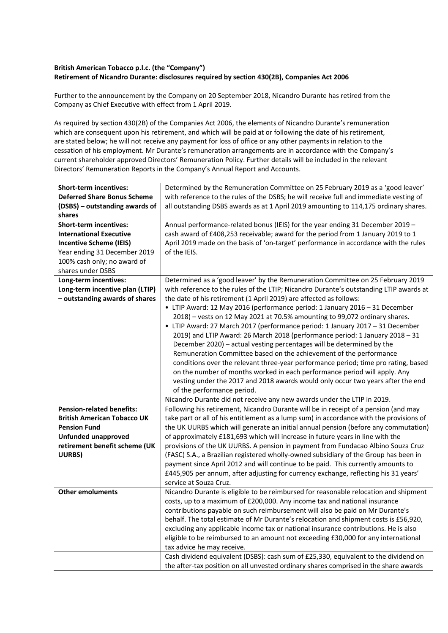## **British American Tobacco p.l.c. (the "Company") Retirement of Nicandro Durante: disclosures required by section 430(2B), Companies Act 2006**

Further to the announcement by the Company on 20 September 2018, Nicandro Durante has retired from the Company as Chief Executive with effect from 1 April 2019.

As required by section 430(2B) of the Companies Act 2006, the elements of Nicandro Durante's remuneration which are consequent upon his retirement, and which will be paid at or following the date of his retirement, are stated below; he will not receive any payment for loss of office or any other payments in relation to the cessation of his employment. Mr Durante's remuneration arrangements are in accordance with the Company's current shareholder approved Directors' Remuneration Policy. Further details will be included in the relevant Directors' Remuneration Reports in the Company's Annual Report and Accounts.

| <b>Short-term incentives:</b>      | Determined by the Remuneration Committee on 25 February 2019 as a 'good leaver'         |
|------------------------------------|-----------------------------------------------------------------------------------------|
| <b>Deferred Share Bonus Scheme</b> | with reference to the rules of the DSBS; he will receive full and immediate vesting of  |
| (DSBS) - outstanding awards of     | all outstanding DSBS awards as at 1 April 2019 amounting to 114,175 ordinary shares.    |
| shares                             |                                                                                         |
| <b>Short-term incentives:</b>      | Annual performance-related bonus (IEIS) for the year ending 31 December 2019 -          |
| <b>International Executive</b>     | cash award of £408,253 receivable; award for the period from 1 January 2019 to 1        |
| <b>Incentive Scheme (IEIS)</b>     | April 2019 made on the basis of 'on-target' performance in accordance with the rules    |
| Year ending 31 December 2019       | of the IEIS.                                                                            |
| 100% cash only; no award of        |                                                                                         |
| shares under DSBS                  |                                                                                         |
| Long-term incentives:              | Determined as a 'good leaver' by the Remuneration Committee on 25 February 2019         |
| Long-term incentive plan (LTIP)    | with reference to the rules of the LTIP; Nicandro Durante's outstanding LTIP awards at  |
| - outstanding awards of shares     | the date of his retirement (1 April 2019) are affected as follows:                      |
|                                    | • LTIP Award: 12 May 2016 (performance period: 1 January 2016 - 31 December             |
|                                    | 2018) - vests on 12 May 2021 at 70.5% amounting to 99,072 ordinary shares.              |
|                                    | • LTIP Award: 27 March 2017 (performance period: 1 January 2017 - 31 December           |
|                                    | 2019) and LTIP Award: 26 March 2018 (performance period: 1 January 2018 - 31            |
|                                    | December 2020) - actual vesting percentages will be determined by the                   |
|                                    | Remuneration Committee based on the achievement of the performance                      |
|                                    | conditions over the relevant three-year performance period; time pro rating, based      |
|                                    | on the number of months worked in each performance period will apply. Any               |
|                                    | vesting under the 2017 and 2018 awards would only occur two years after the end         |
|                                    | of the performance period.                                                              |
|                                    | Nicandro Durante did not receive any new awards under the LTIP in 2019.                 |
| <b>Pension-related benefits:</b>   | Following his retirement, Nicandro Durante will be in receipt of a pension (and may     |
| <b>British American Tobacco UK</b> | take part or all of his entitlement as a lump sum) in accordance with the provisions of |
| <b>Pension Fund</b>                | the UK UURBS which will generate an initial annual pension (before any commutation)     |
| <b>Unfunded unapproved</b>         | of approximately £181,693 which will increase in future years in line with the          |
| retirement benefit scheme (UK      | provisions of the UK UURBS. A pension in payment from Fundacao Albino Souza Cruz        |
| UURBS)                             | (FASC) S.A., a Brazilian registered wholly-owned subsidiary of the Group has been in    |
|                                    | payment since April 2012 and will continue to be paid. This currently amounts to        |
|                                    | £445,905 per annum, after adjusting for currency exchange, reflecting his 31 years'     |
|                                    | service at Souza Cruz.                                                                  |
| <b>Other emoluments</b>            | Nicandro Durante is eligible to be reimbursed for reasonable relocation and shipment    |
|                                    | costs, up to a maximum of £200,000. Any income tax and national insurance               |
|                                    | contributions payable on such reimbursement will also be paid on Mr Durante's           |
|                                    | behalf. The total estimate of Mr Durante's relocation and shipment costs is £56,920,    |
|                                    | excluding any applicable income tax or national insurance contributions. He is also     |
|                                    | eligible to be reimbursed to an amount not exceeding £30,000 for any international      |
|                                    | tax advice he may receive.                                                              |
|                                    | Cash dividend equivalent (DSBS): cash sum of £25,330, equivalent to the dividend on     |
|                                    | the after-tax position on all unvested ordinary shares comprised in the share awards    |